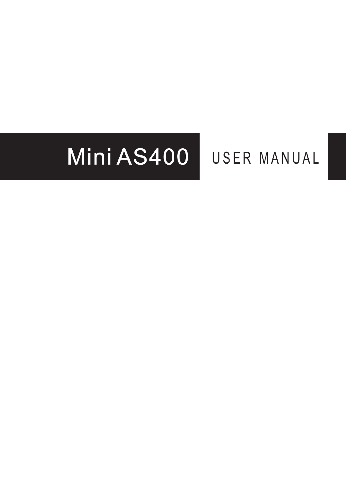# Mini AS400 USER MANUAL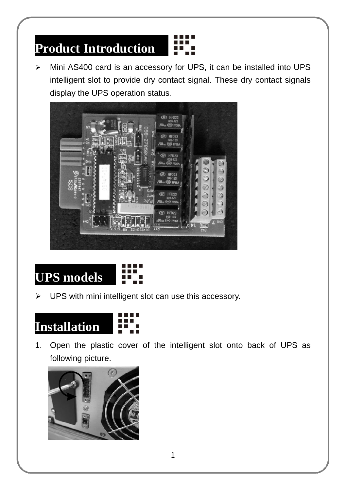## **Product Introduction**

 Mini AS400 card is an accessory for UPS, it can be installed into UPS intelligent slot to provide dry contact signal. These dry contact signals display the UPS operation status.





UPS with mini intelligent slot can use this accessory.



1. Open the plastic cover of the intelligent slot onto back of UPS as following picture.

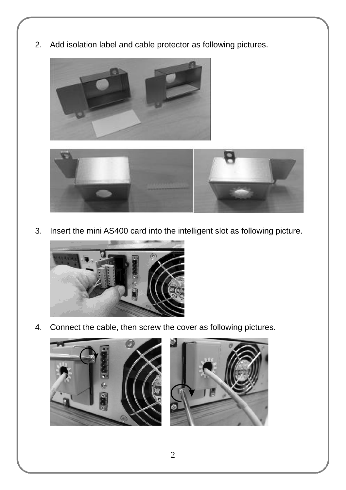2. Add isolation label and cable protector as following pictures.





3. Insert the mini AS400 card into the intelligent slot as following picture.



4. Connect the cable, then screw the cover as following pictures.



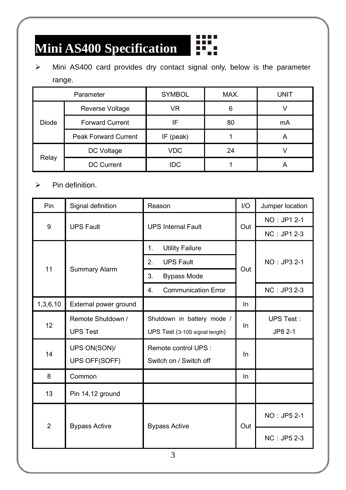#### **Mini AS400 Specification**  Ŧ

 $\triangleright$  Mini AS400 card provides dry contact signal only, below is the parameter range.

**BARBER** 

| Parameter    |                             | <b>SYMBOL</b> | MAX. | UNIT |
|--------------|-----------------------------|---------------|------|------|
| <b>Diode</b> | Reverse Voltage             | VR.           | 6    |      |
|              | <b>Forward Current</b>      | IF            | 80   | mA   |
|              | <b>Peak Forward Current</b> | IF (peak)     |      |      |
| Relay        | DC Voltage                  | VDC           | 24   |      |
|              | <b>DC Current</b>           | <b>IDC</b>    |      |      |

 $\triangleright$  Pin definition.

| Pin            | Signal definition     | Reason                           | I/O | Jumper location |
|----------------|-----------------------|----------------------------------|-----|-----------------|
| 9              | <b>UPS Fault</b>      | <b>UPS Internal Fault</b>        | Out | NO: JP1 2-1     |
|                |                       |                                  |     | NC: JP1 2-3     |
| 11             | Summary Alarm         | <b>Utility Failure</b><br>1.     |     | NO: JP3 2-1     |
|                |                       | 2.<br><b>UPS Fault</b>           | Out |                 |
|                |                       | 3.<br><b>Bypass Mode</b>         |     |                 |
|                |                       | <b>Communication Error</b><br>4. |     | NC: JP3 2-3     |
| 1,3,6,10       | External power ground |                                  | In. |                 |
| 12             | Remote Shutdown /     | Shutdown in battery mode /       | In  | UPS Test:       |
|                | <b>UPS Test</b>       | UPS Test (3-10S signal length)   |     | JP8 2-1         |
| 14             | UPS ON(SON)/          | Remote control UPS :             |     |                 |
|                | UPS OFF(SOFF)         | Switch on / Switch off           | In  |                 |
| 8              | Common                |                                  | In. |                 |
| 13             | Pin 14,12 ground      |                                  |     |                 |
| $\overline{2}$ | <b>Bypass Active</b>  | <b>Bypass Active</b><br>⌒        | Out | NO: JP5 2-1     |
|                |                       |                                  |     | NC: JP5 2-3     |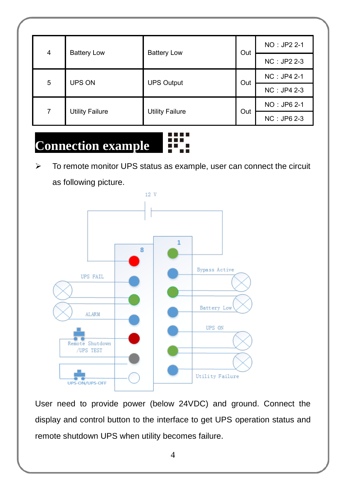| 4 | <b>Battery Low</b>     | <b>Battery Low</b>     | Out | NO: JP2 2-1 |  |
|---|------------------------|------------------------|-----|-------------|--|
|   |                        |                        |     | NC: JP2 2-3 |  |
| 5 | UPS ON                 | <b>UPS Output</b>      | Out | NC: JP4 2-1 |  |
|   |                        |                        |     | NC: JP4 2-3 |  |
| 7 | <b>Utility Failure</b> | <b>Utility Failure</b> | Out | NO: JP6 2-1 |  |
|   |                        |                        |     | NC: JP6 2-3 |  |

### **Connection example**

 To remote monitor UPS status as example, user can connect the circuit as following picture.



User need to provide power (below 24VDC) and ground. Connect the display and control button to the interface to get UPS operation status and remote shutdown UPS when utility becomes failure.